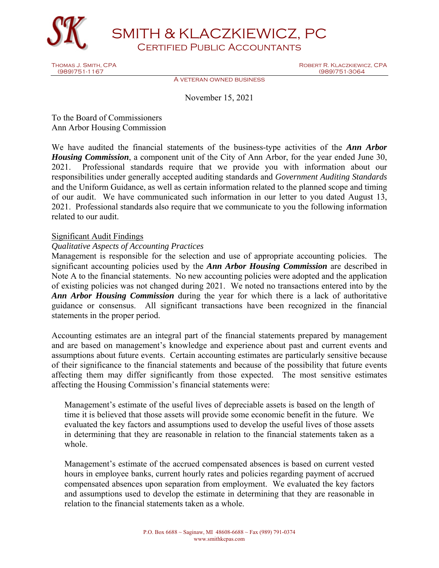

SMITH & KLACZKIEWICZ, PC

Certified Public Accountants

Thomas J. Smith, CPA Robert R. Klaczkiewicz, CPA (989)751-3064

A veteran owned business

November 15, 2021

To the Board of Commissioners Ann Arbor Housing Commission

We have audited the financial statements of the business-type activities of the *Ann Arbor Housing Commission*, a component unit of the City of Ann Arbor, for the year ended June 30, 2021. Professional standards require that we provide you with information about our responsibilities under generally accepted auditing standards and *Government Auditing Standards* and the Uniform Guidance, as well as certain information related to the planned scope and timing of our audit. We have communicated such information in our letter to you dated August 13, 2021. Professional standards also require that we communicate to you the following information related to our audit.

# Significant Audit Findings

## *Qualitative Aspects of Accounting Practices*

Management is responsible for the selection and use of appropriate accounting policies. The significant accounting policies used by the *Ann Arbor Housing Commission* are described in Note A to the financial statements. No new accounting policies were adopted and the application of existing policies was not changed during 2021. We noted no transactions entered into by the *Ann Arbor Housing Commission* during the year for which there is a lack of authoritative guidance or consensus. All significant transactions have been recognized in the financial statements in the proper period.

Accounting estimates are an integral part of the financial statements prepared by management and are based on management's knowledge and experience about past and current events and assumptions about future events. Certain accounting estimates are particularly sensitive because of their significance to the financial statements and because of the possibility that future events affecting them may differ significantly from those expected. The most sensitive estimates affecting the Housing Commission's financial statements were:

Management's estimate of the useful lives of depreciable assets is based on the length of time it is believed that those assets will provide some economic benefit in the future. We evaluated the key factors and assumptions used to develop the useful lives of those assets in determining that they are reasonable in relation to the financial statements taken as a whole.

Management's estimate of the accrued compensated absences is based on current vested hours in employee banks, current hourly rates and policies regarding payment of accrued compensated absences upon separation from employment. We evaluated the key factors and assumptions used to develop the estimate in determining that they are reasonable in relation to the financial statements taken as a whole.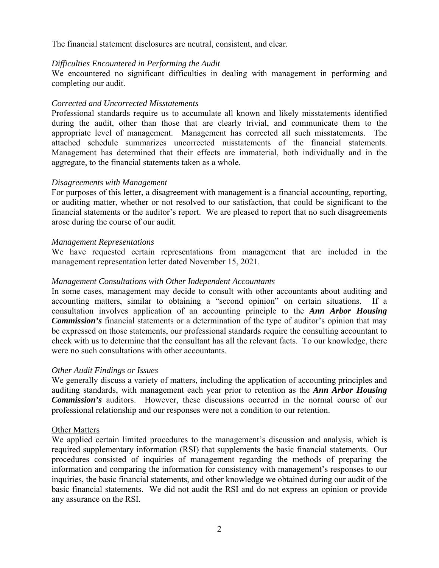The financial statement disclosures are neutral, consistent, and clear.

## *Difficulties Encountered in Performing the Audit*

We encountered no significant difficulties in dealing with management in performing and completing our audit.

# *Corrected and Uncorrected Misstatements*

Professional standards require us to accumulate all known and likely misstatements identified during the audit, other than those that are clearly trivial, and communicate them to the appropriate level of management. Management has corrected all such misstatements. The attached schedule summarizes uncorrected misstatements of the financial statements. Management has determined that their effects are immaterial, both individually and in the aggregate, to the financial statements taken as a whole.

## *Disagreements with Management*

For purposes of this letter, a disagreement with management is a financial accounting, reporting, or auditing matter, whether or not resolved to our satisfaction, that could be significant to the financial statements or the auditor's report. We are pleased to report that no such disagreements arose during the course of our audit.

## *Management Representations*

We have requested certain representations from management that are included in the management representation letter dated November 15, 2021.

## *Management Consultations with Other Independent Accountants*

In some cases, management may decide to consult with other accountants about auditing and accounting matters, similar to obtaining a "second opinion" on certain situations. If a consultation involves application of an accounting principle to the *Ann Arbor Housing Commission's* financial statements or a determination of the type of auditor's opinion that may be expressed on those statements, our professional standards require the consulting accountant to check with us to determine that the consultant has all the relevant facts. To our knowledge, there were no such consultations with other accountants.

#### *Other Audit Findings or Issues*

We generally discuss a variety of matters, including the application of accounting principles and auditing standards, with management each year prior to retention as the *Ann Arbor Housing Commission's* auditors. However, these discussions occurred in the normal course of our professional relationship and our responses were not a condition to our retention.

#### Other Matters

We applied certain limited procedures to the management's discussion and analysis, which is required supplementary information (RSI) that supplements the basic financial statements. Our procedures consisted of inquiries of management regarding the methods of preparing the information and comparing the information for consistency with management's responses to our inquiries, the basic financial statements, and other knowledge we obtained during our audit of the basic financial statements. We did not audit the RSI and do not express an opinion or provide any assurance on the RSI.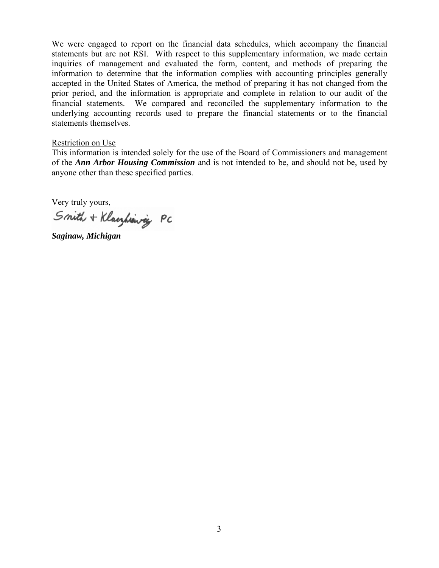We were engaged to report on the financial data schedules, which accompany the financial statements but are not RSI. With respect to this supplementary information, we made certain inquiries of management and evaluated the form, content, and methods of preparing the information to determine that the information complies with accounting principles generally accepted in the United States of America, the method of preparing it has not changed from the prior period, and the information is appropriate and complete in relation to our audit of the financial statements. We compared and reconciled the supplementary information to the underlying accounting records used to prepare the financial statements or to the financial statements themselves.

#### Restriction on Use

This information is intended solely for the use of the Board of Commissioners and management of the *Ann Arbor Housing Commission* and is not intended to be, and should not be, used by anyone other than these specified parties.

Very truly yours,

Smith + Klacyhiannig PC

Saginaw, Michigan